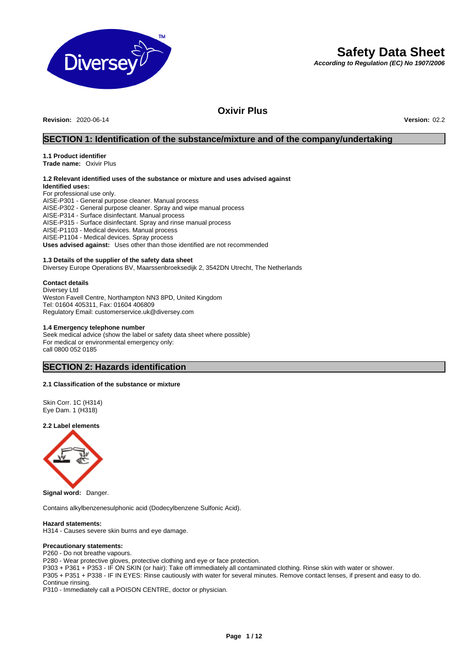

# **Safety Data Sheet**

*According to Regulation (EC) No 1907/2006* 

# **Oxivir Plus**

**Revision:** 2020-06-14 **Version:** 02.2

# **SECTION 1: Identification of the substance/mixture and of the company/undertaking**

# **1.1 Product identifier**

**Trade name:** Oxivir Plus

# **1.2 Relevant identified uses of the substance or mixture and uses advised against**

**Identified uses:**  For professional use only. AISE-P301 - General purpose cleaner. Manual process AISE-P302 - General purpose cleaner. Spray and wipe manual process AISE-P314 - Surface disinfectant. Manual process AISE-P315 - Surface disinfectant. Spray and rinse manual process AISE-P1103 - Medical devices. Manual process AISE-P1104 - Medical devices. Spray process **Uses advised against:** Uses other than those identified are not recommended

# **1.3 Details of the supplier of the safety data sheet**

Diversey Europe Operations BV, Maarssenbroeksedijk 2, 3542DN Utrecht, The Netherlands

### **Contact details**

Diversey Ltd Weston Favell Centre, Northampton NN3 8PD, United Kingdom Tel: 01604 405311, Fax: 01604 406809 Regulatory Email: customerservice.uk@diversey.com

#### **1.4 Emergency telephone number**

Seek medical advice (show the label or safety data sheet where possible) For medical or environmental emergency only: call 0800 052 0185

# **SECTION 2: Hazards identification**

# **2.1 Classification of the substance or mixture**

Skin Corr. 1C (H314) Eye Dam. 1 (H318)

### **2.2 Label elements**



**Signal word:** Danger.

Contains alkylbenzenesulphonic acid (Dodecylbenzene Sulfonic Acid).

### **Hazard statements:**

H314 - Causes severe skin burns and eye damage.

#### **Precautionary statements:**

P260 - Do not breathe vapours.

P280 - Wear protective gloves, protective clothing and eye or face protection.

P303 + P361 + P353 - IF ON SKIN (or hair): Take off immediately all contaminated clothing. Rinse skin with water or shower.

P305 + P351 + P338 - IF IN EYES: Rinse cautiously with water for several minutes. Remove contact lenses, if present and easy to do. Continue rinsing.

P310 - Immediately call a POISON CENTRE, doctor or physician.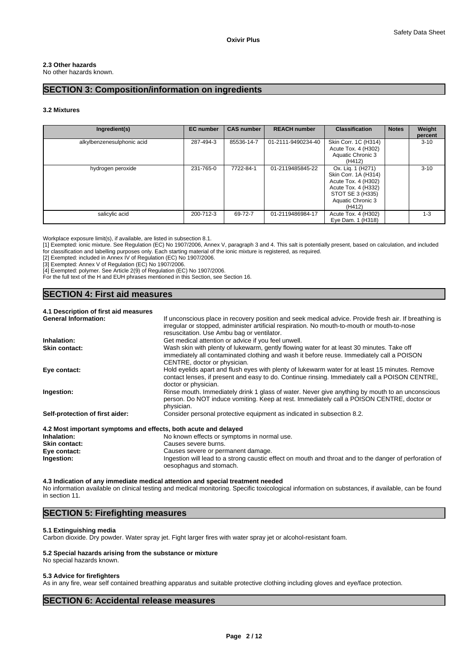# **2.3 Other hazards**

No other hazards known.

# **SECTION 3: Composition/information on ingredients**

# **3.2 Mixtures**

| Ingredient(s)              | <b>EC</b> number | <b>CAS number</b> | <b>REACH number</b> | <b>Classification</b>                                                                                                                      | <b>Notes</b> | Weight<br>percent |
|----------------------------|------------------|-------------------|---------------------|--------------------------------------------------------------------------------------------------------------------------------------------|--------------|-------------------|
| alkylbenzenesulphonic acid | 287-494-3        | 85536-14-7        | 01-2111-9490234-40  | Skin Corr. 1C (H314)<br>Acute Tox. 4 (H302)<br>Aquatic Chronic 3<br>(H412)                                                                 |              | $3 - 10$          |
| hydrogen peroxide          | 231-765-0        | 7722-84-1         | 01-2119485845-22    | Ox. Lig. 1 (H271)<br>Skin Corr. 1A (H314)<br>Acute Tox. 4 (H302)<br>Acute Tox. 4 (H332)<br>STOT SE 3 (H335)<br>Aquatic Chronic 3<br>(H412) |              | $3 - 10$          |
| salicylic acid             | 200-712-3        | 69-72-7           | 01-2119486984-17    | Acute Tox. 4 (H302)<br>Eye Dam. 1 (H318)                                                                                                   |              | $1 - 3$           |

Workplace exposure limit(s), if available, are listed in subsection 8.1.

[1] Exempted: ionic mixture. See Regulation (EC) No 1907/2006, Annex V, paragraph 3 and 4. This salt is potentially present, based on calculation, and included for classification and labelling purposes only. Each starting material of the ionic mixture is registered, as required.

[2] Exempted: included in Annex IV of Regulation (EC) No 1907/2006.

[3] Exempted: Annex V of Regulation (EC) No 1907/2006.

[4] Exempted: polymer. See Article 2(9) of Regulation (EC) No 1907/2006.

For the full text of the H and EUH phrases mentioned in this Section, see Section 16.

# **SECTION 4: First aid measures**

# **4.1 Description of first aid measures**

| <b>General Information:</b>                                     | If unconscious place in recovery position and seek medical advice. Provide fresh air. If breathing is |
|-----------------------------------------------------------------|-------------------------------------------------------------------------------------------------------|
|                                                                 | irregular or stopped, administer artificial respiration. No mouth-to-mouth or mouth-to-nose           |
|                                                                 | resuscitation. Use Ambu bag or ventilator.                                                            |
| Inhalation:                                                     | Get medical attention or advice if you feel unwell.                                                   |
| <b>Skin contact:</b>                                            | Wash skin with plenty of lukewarm, gently flowing water for at least 30 minutes. Take off             |
|                                                                 | immediately all contaminated clothing and wash it before reuse. Immediately call a POISON             |
|                                                                 | CENTRE, doctor or physician.                                                                          |
| Eye contact:                                                    | Hold eyelids apart and flush eyes with plenty of lukewarm water for at least 15 minutes. Remove       |
|                                                                 | contact lenses, if present and easy to do. Continue rinsing. Immediately call a POISON CENTRE,        |
|                                                                 | doctor or physician.                                                                                  |
| Ingestion:                                                      | Rinse mouth. Immediately drink 1 glass of water. Never give anything by mouth to an unconscious       |
|                                                                 | person. Do NOT induce vomiting. Keep at rest. Immediately call a POISON CENTRE, doctor or             |
|                                                                 | physician.                                                                                            |
| Self-protection of first aider:                                 | Consider personal protective equipment as indicated in subsection 8.2.                                |
| 4.2 Most important symptoms and effects, both acute and delayed |                                                                                                       |
| Inhalation:                                                     | No known effects or symptoms in normal use.                                                           |
| <b>Skin contact:</b>                                            | Causes severe burns.                                                                                  |

**Eye contact: Causes severe or permanent damage.**<br> **Causes severe or permanent damage.**<br>
Ingestion will lead to a strong caustic e **Ingestion:** Ingestion will lead to a strong caustic effect on mouth and throat and to the danger of perforation of oesophagus and stomach.

**4.3 Indication of any immediate medical attention and special treatment needed** No information available on clinical testing and medical monitoring. Specific toxicological information on substances, if available, can be found in section 11.

# **SECTION 5: Firefighting measures**

# **5.1 Extinguishing media**

Carbon dioxide. Dry powder. Water spray jet. Fight larger fires with water spray jet or alcohol-resistant foam.

#### **5.2 Special hazards arising from the substance or mixture**  No special hazards known.

# **5.3 Advice for firefighters**

As in any fire, wear self contained breathing apparatus and suitable protective clothing including gloves and eye/face protection.

# **SECTION 6: Accidental release measures**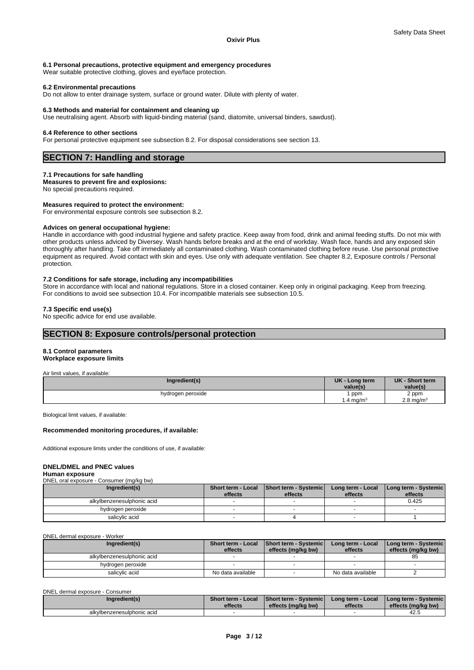## **6.1 Personal precautions, protective equipment and emergency procedures**

Wear suitable protective clothing, gloves and eye/face protection.

#### **6.2 Environmental precautions**

Do not allow to enter drainage system, surface or ground water. Dilute with plenty of water.

### **6.3 Methods and material for containment and cleaning up**

Use neutralising agent. Absorb with liquid-binding material (sand, diatomite, universal binders, sawdust).

#### **6.4 Reference to other sections**

For personal protective equipment see subsection 8.2. For disposal considerations see section 13.

# **SECTION 7: Handling and storage**

#### **7.1 Precautions for safe handling**

**Measures to prevent fire and explosions:**

No special precautions required.

# **Measures required to protect the environment:**

For environmental exposure controls see subsection 8.2.

#### **Advices on general occupational hygiene:**

Handle in accordance with good industrial hygiene and safety practice. Keep away from food, drink and animal feeding stuffs. Do not mix with other products unless adviced by Diversey. Wash hands before breaks and at the end of workday. Wash face, hands and any exposed skin thoroughly after handling. Take off immediately all contaminated clothing. Wash contaminated clothing before reuse. Use personal protective equipment as required. Avoid contact with skin and eyes. Use only with adequate ventilation. See chapter 8.2, Exposure controls / Personal protection.

#### **7.2 Conditions for safe storage, including any incompatibilities**

Store in accordance with local and national regulations. Store in a closed container. Keep only in original packaging. Keep from freezing. For conditions to avoid see subsection 10.4. For incompatible materials see subsection 10.5.

# **7.3 Specific end use(s)**

No specific advice for end use available.

# **SECTION 8: Exposure controls/personal protection**

# **8.1 Control parameters**

# **Workplace exposure limits**

| Air limit values. if available: |                             |                               |
|---------------------------------|-----------------------------|-------------------------------|
| Ingredient(s)                   | UK - Long term<br>value(s)  | UK - Short term<br>value(s)   |
| hydrogen peroxide               | ppm<br>$1.4 \text{ mg/m}^3$ | 2 ppm<br>$2.8 \text{ mg/m}^3$ |

Biological limit values, if available:

#### **Recommended monitoring procedures, if available:**

Additional exposure limits under the conditions of use, if available:

## **DNEL/DMEL and PNEC values**

#### **Human exposure**

DNEL oral exposure - Consumer (mg/kg bw)

| Ingredient(s)              | effects | Short term - Local   Short term - Systemic<br>effects | Long term - Local<br>effects | Long term - Systemic<br>effects |
|----------------------------|---------|-------------------------------------------------------|------------------------------|---------------------------------|
| alkylbenzenesulphonic acid |         |                                                       |                              | 0.425                           |
| hydrogen peroxide          |         |                                                       |                              |                                 |
| salicylic acid             |         |                                                       |                              |                                 |

DNEL dermal exposure - Worker

| Ingredient(s)              | <b>Short term - Local</b><br>effects | <b>Short term - Systemic</b><br>effects (mg/kg bw) | Long term - Local<br>effects | I Long term - Systemic I<br>effects (mg/kg bw) |
|----------------------------|--------------------------------------|----------------------------------------------------|------------------------------|------------------------------------------------|
| alkylbenzenesulphonic acid |                                      |                                                    |                              | 85                                             |
| hydrogen peroxide          |                                      |                                                    |                              |                                                |
| salicylic acid             | No data available                    |                                                    | No data available            |                                                |

DNEL dermal exposure - Consumer

| Ingredient(s)              | Short term - Local | <b>Short term - Systemicl</b> | Long term - Local | I Long term - Systemic I |
|----------------------------|--------------------|-------------------------------|-------------------|--------------------------|
|                            | effects            | effects (ma/ka bw)            | effects           | effects (ma/ka bw)       |
| alkylbenzenesulphonic acid |                    |                               |                   | 42.5                     |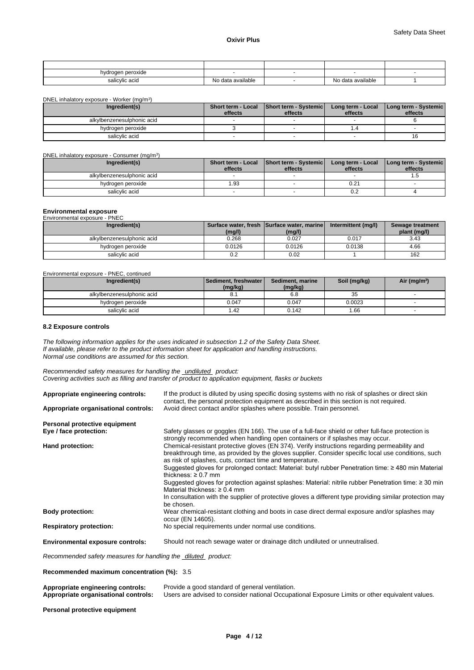| hydrogen peroxide |                   |                   |  |
|-------------------|-------------------|-------------------|--|
| salicylic acid    | No data available | No data available |  |

DNEL inhalatory exposure - Worker (mg/m<sup>3</sup>)

| DNEL inhalatory exposure - Worker (mg/m <sup>3</sup> ) |         |                                                         |                              |                                 |
|--------------------------------------------------------|---------|---------------------------------------------------------|------------------------------|---------------------------------|
| Ingredient(s)                                          | effects | Short term - Local   Short term - Systemic  <br>effects | Long term - Local<br>effects | Long term - Systemic<br>effects |
| alkylbenzenesulphonic acid                             |         |                                                         |                              |                                 |
| hydrogen peroxide                                      |         |                                                         |                              |                                 |
| salicvlic acid                                         |         |                                                         |                              |                                 |

#### DNEL inhalatory exposure - Consumer (mg/m<sup>3</sup>)

| Ingredient(s)              | Short term - Local<br>effects | Short term - Systemic<br>effects | Long term - Local<br>effects | Long term - Systemic<br>effects |
|----------------------------|-------------------------------|----------------------------------|------------------------------|---------------------------------|
| alkylbenzenesulphonic acid |                               |                                  |                              |                                 |
|                            |                               |                                  |                              |                                 |
| hydrogen peroxide          | .93                           |                                  | 0.21                         |                                 |
| salicylic acid             |                               |                                  | 0.2                          |                                 |

### **Environmental exposure**

| Environmental exposure - PNEC |        |                                                      |                     |                                  |
|-------------------------------|--------|------------------------------------------------------|---------------------|----------------------------------|
| Ingredient(s)                 | (mg/l) | Surface water, fresh Surface water, marine<br>(mg/l) | Intermittent (mg/l) | Sewage treatment<br>plant (mg/l) |
| alkylbenzenesulphonic acid    | 0.268  | 0.027                                                | 0.017               | 3.43                             |
| hydrogen peroxide             | 0.0126 | 0.0126                                               | 0.0138              | 4.66                             |
| salicylic acid                | 0.2    | 0.02                                                 |                     | 162                              |

Environmental exposure - PNEC, continued

| Ingredient(s)              | l Sediment. freshwater l<br>(mg/kg) | Sediment, marine<br>(mg/kg) | Soil (mg/kg) | Air (mg/m <sup>3</sup> ) |
|----------------------------|-------------------------------------|-----------------------------|--------------|--------------------------|
| alkylbenzenesulphonic acid | o.,                                 | 6.8                         | 35           |                          |
| hydrogen peroxide          | 0.047                               | 0.047                       | 0.0023       |                          |
| salicylic acid             | 1.42                                | 0.142                       | .66          |                          |

# **8.2 Exposure controls**

*The following information applies for the uses indicated in subsection 1.2 of the Safety Data Sheet. If available, please refer to the product information sheet for application and handling instructions. Normal use conditions are assumed for this section.*

 $)$ 

*Recommended safety measures for handling the undiluted product: Covering activities such as filling and transfer of product to application equipment, flasks or buckets* 

| Appropriate engineering controls:       | If the product is diluted by using specific dosing systems with no risk of splashes or direct skin<br>contact, the personal protection equipment as described in this section is not required.                                                                                                                                                                                                                                                                                                                                                                                                                                                                             |
|-----------------------------------------|----------------------------------------------------------------------------------------------------------------------------------------------------------------------------------------------------------------------------------------------------------------------------------------------------------------------------------------------------------------------------------------------------------------------------------------------------------------------------------------------------------------------------------------------------------------------------------------------------------------------------------------------------------------------------|
| Appropriate organisational controls:    | Avoid direct contact and/or splashes where possible. Train personnel.                                                                                                                                                                                                                                                                                                                                                                                                                                                                                                                                                                                                      |
| Personal protective equipment           |                                                                                                                                                                                                                                                                                                                                                                                                                                                                                                                                                                                                                                                                            |
| Eye / face protection:                  | Safety glasses or goggles (EN 166). The use of a full-face shield or other full-face protection is<br>strongly recommended when handling open containers or if splashes may occur.                                                                                                                                                                                                                                                                                                                                                                                                                                                                                         |
| Hand protection:                        | Chemical-resistant protective gloves (EN 374). Verify instructions regarding permeability and<br>breakthrough time, as provided by the gloves supplier. Consider specific local use conditions, such<br>as risk of splashes, cuts, contact time and temperature.<br>Suggested gloves for prolonged contact: Material: butyl rubber Penetration time: ≥480 min Material<br>thickness: $\geq 0.7$ mm<br>Suggested gloves for protection against splashes: Material: nitrile rubber Penetration time: ≥ 30 min<br>Material thickness: $\geq 0.4$ mm<br>In consultation with the supplier of protective gloves a different type providing similar protection may<br>be chosen. |
| <b>Body protection:</b>                 | Wear chemical-resistant clothing and boots in case direct dermal exposure and/or splashes may<br>occur (EN 14605).                                                                                                                                                                                                                                                                                                                                                                                                                                                                                                                                                         |
| <b>Respiratory protection:</b>          | No special requirements under normal use conditions.                                                                                                                                                                                                                                                                                                                                                                                                                                                                                                                                                                                                                       |
| <b>Environmental exposure controls:</b> | Should not reach sewage water or drainage ditch undiluted or unneutralised.                                                                                                                                                                                                                                                                                                                                                                                                                                                                                                                                                                                                |

*Recommended safety measures for handling the diluted product:*

**Recommended maximum concentration (%):** 3.5

| Appropriate engineering controls:    | Provide a good standard of general ventilation.                                                 |
|--------------------------------------|-------------------------------------------------------------------------------------------------|
| Appropriate organisational controls: | Users are advised to consider national Occupational Exposure Limits or other equivalent values. |

**Personal protective equipment**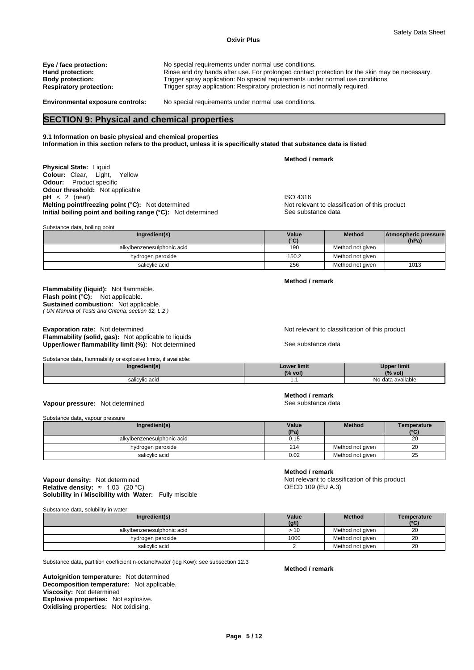# **Oxivir Plus**

| Eye / face protection:         | No special requirements under normal use conditions.                                           |
|--------------------------------|------------------------------------------------------------------------------------------------|
| Hand protection:               | Rinse and dry hands after use. For prolonged contact protection for the skin may be necessary. |
| <b>Body protection:</b>        | Trigger spray application: No special requirements under normal use conditions                 |
| <b>Respiratory protection:</b> | Trigger spray application: Respiratory protection is not normally required.                    |
|                                |                                                                                                |

Substance data, boiling point

**Environmental exposure controls:** No special requirements under normal use conditions.

# **SECTION 9: Physical and chemical properties**

# **9.1 Information on basic physical and chemical properties**

**Information in this section refers to the product, unless it is specifically stated that substance data is listed** 

**Method / remark** 

**Physical State:** Liquid **Colour:** Clear, Light, Yellow **Odour:** Product specific **Odour threshold:** Not applicable **pH** < 2 (neat)<br> **Melting point/freezing point (°C):** Not determined<br> **Melting point/freezing point (°C):** Not determined<br> **Melting point/freezing point (°C):** Not determined **Melting point/freezing point (°C):** Not determined Not relevant to class<br> **Initial boiling point and boiling range (°C):** Not determined See substance data **Initial boiling point and boiling range (°C):** Not determined

| <b>Dabotance data, bolling point</b> |               |                  |                               |  |  |  |
|--------------------------------------|---------------|------------------|-------------------------------|--|--|--|
| Ingredient(s)                        | Value<br>(°C) | <b>Method</b>    | Atmospheric pressure<br>(hPa) |  |  |  |
| alkylbenzenesulphonic acid           | 190           | Method not given |                               |  |  |  |
| hydrogen peroxide                    | 150.2         | Method not given |                               |  |  |  |
| salicylic acid                       | 256           | Method not given | 1013                          |  |  |  |

**Method / remark** 

*( UN Manual of Tests and Criteria, section 32, L.2 )*  **Flash point (°C):** Not applicable. **Sustained combustion:** Not applicable.

**Flammability (liquid):** Not flammable.

**Evaporation rate:** Not determined **Notice 2008** Not relevant to classification of this product **Flammability (solid, gas):** Not applicable to liquids Upper/lower flammability limit (%): Not determined See substance data

| Substance data, flammability or explosive limits, if available: |                    |                    |
|-----------------------------------------------------------------|--------------------|--------------------|
| Ingredient(s)                                                   | <b>Lower limit</b> | <b>Upper limit</b> |
|                                                                 | (% vol)            | (% vol)            |
| salicylic acid                                                  |                    | No data available  |

# **Vapour pressure:** Not determined **See substance data** See substance data

Substance data, vapour pressure

| Ingredient(s)              | Value<br>(Pa) | <b>Method</b>    | Temperature<br>(°C) |
|----------------------------|---------------|------------------|---------------------|
| alkylbenzenesulphonic acid | 0.15          |                  | 20                  |
| hydrogen peroxide          | 214           | Method not aiven | 20                  |
| salicylic acid             | 0.02          | Method not aiven | 25                  |

**Solubility in / Miscibility with Water:** Fully miscible **Vapour density:** Not determined **Not relevant to classification of this product**<br> **Relative density:** ≈ 1.03 (20 °C) **Notice 2.0 and Not relevant to classification of this product Relative density:**  $≈ 1.03 (20 °C)$ 

Substance data, solubility in water

| Ingredient(s)              | Value<br>(g/l) | <b>Method</b>    | Temperature<br>(°C) |
|----------------------------|----------------|------------------|---------------------|
| alkylbenzenesulphonic acid | > 10           | Method not given | 20                  |
| hydrogen peroxide          | 1000           | Method not given | 20                  |
| salicylic acid             |                | Method not given | 20                  |

Substance data, partition coefficient n-octanol/water (log Kow): see subsection 12.3

**Decomposition temperature:** Not applicable. **Autoignition temperature:** Not determined **Viscosity:** Not determined **Explosive properties:** Not explosive. **Oxidising properties:** Not oxidising.

**Method / remark** 

**Method / remark** 

**Method / remark**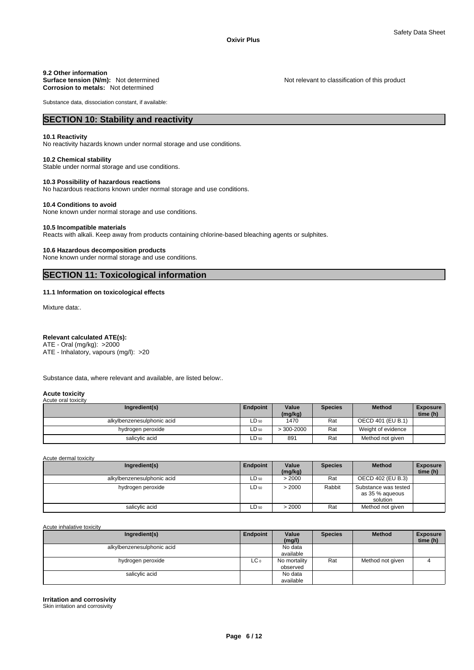# **9.2 Other information**

**Surface tension (N/m):** Not determined Not relevant to classification of this product **Corrosion to metals:** Not determined

Substance data, dissociation constant, if available:

# **SECTION 10: Stability and reactivity**

#### **10.1 Reactivity**

No reactivity hazards known under normal storage and use conditions.

# **10.2 Chemical stability**

Stable under normal storage and use conditions.

## **10.3 Possibility of hazardous reactions**

No hazardous reactions known under normal storage and use conditions.

## **10.4 Conditions to avoid**

None known under normal storage and use conditions.

#### **10.5 Incompatible materials**

Reacts with alkali. Keep away from products containing chlorine-based bleaching agents or sulphites.

#### **10.6 Hazardous decomposition products**

None known under normal storage and use conditions.

# **SECTION 11: Toxicological information**

### **11.1 Information on toxicological effects**

Mixture data:.

# **Relevant calculated ATE(s):**

ATE - Oral (mg/kg): >2000 ATE - Inhalatory, vapours (mg/l): >20

Substance data, where relevant and available, are listed below:.

#### **Acute toxicity**  Acute oral toxicity

| Ingredient(s)              | Endpoint | Value<br>(mg/kg) | <b>Species</b> | <b>Method</b>      | <b>Exposure</b><br>time (h) |
|----------------------------|----------|------------------|----------------|--------------------|-----------------------------|
| alkylbenzenesulphonic acid | ∟D 50    | 1470             | Rat            | OECD 401 (EU B.1)  |                             |
| hydrogen peroxide          | ∟D 50    | $>300-2000$      | Rat            | Weight of evidence |                             |
| salicylic acid             | ∟D 50    | 891              | Rat            | Method not given   |                             |

Acute dermal toxicity

| Ingredient(s)              | Endpoint  | Value   | <b>Species</b> | <b>Method</b>                                       | <b>Exposure</b> |
|----------------------------|-----------|---------|----------------|-----------------------------------------------------|-----------------|
|                            |           | (mg/kg) |                |                                                     | time (h)        |
| alkylbenzenesulphonic acid | $LD_{50}$ | > 2000  | Rat            | OECD 402 (EU B.3)                                   |                 |
| hydrogen peroxide          | $LD_{50}$ | > 2000  | Rabbit         | Substance was tested<br>as 35 % aqueous<br>solution |                 |
| salicylic acid             | $LD_{50}$ | > 2000  | Rat            | Method not given                                    |                 |

Acute inhalative toxicity

| Ingredient(s)              | <b>Endpoint</b> | Value<br>(mg/l)          | <b>Species</b> | <b>Method</b>    | <b>Exposure</b><br>time (h) |
|----------------------------|-----------------|--------------------------|----------------|------------------|-----------------------------|
| alkylbenzenesulphonic acid |                 | No data<br>available     |                |                  |                             |
| hydrogen peroxide          | LC 0            | No mortality<br>observed | Rat            | Method not given |                             |
| salicylic acid             |                 | No data<br>available     |                |                  |                             |

**Irritation and corrosivity** 

Skin irritation and corrosivity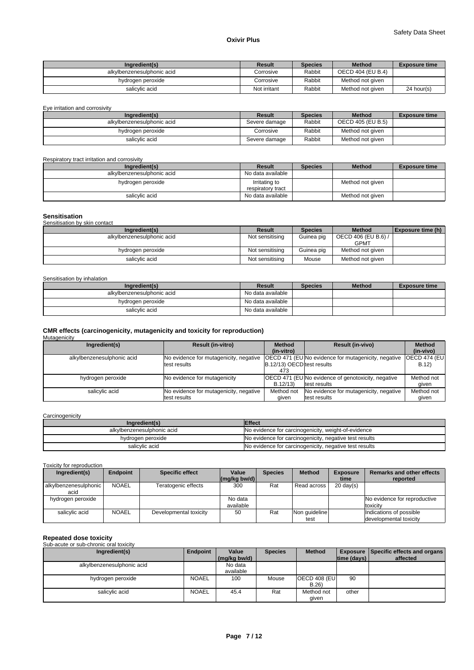| Ingredient(s)              | Result       | <b>Species</b> | <b>Method</b>     | <b>Exposure time</b> |
|----------------------------|--------------|----------------|-------------------|----------------------|
| alkylbenzenesulphonic acid | Corrosive    | Rabbit         | OECD 404 (EU B.4) |                      |
| hydrogen peroxide          | Corrosive    | Rabbit         | Method not given  |                      |
| salicvlic acid             | Not irritant | Rabbit         | Method not given  | $24$ hour(s)         |

Eye irritation and corrosivity

| Ingredient(s)              | Result        | <b>Species</b> | <b>Method</b>     | <b>Exposure time</b> |
|----------------------------|---------------|----------------|-------------------|----------------------|
| alkylbenzenesulphonic acid | Severe damage | Rabbit         | OECD 405 (EU B.5) |                      |
| hydrogen peroxide          | Corrosive     | Rabbit         | Method not given  |                      |
| salicvlic acid             | Severe damage | Rabbit         | Method not given  |                      |

Respiratory tract irritation and corrosivity

| Ingredient(s)              | Result                             | <b>Species</b> | <b>Method</b>    | <b>Exposure time</b> |
|----------------------------|------------------------------------|----------------|------------------|----------------------|
| alkylbenzenesulphonic acid | No data available                  |                |                  |                      |
| hydrogen peroxide          | Irritating to<br>respiratory tract |                | Method not given |                      |
| salicylic acid             | No data available                  |                | Method not given |                      |

## **Sensitisation**

| Sensitisation by skin contact |                 |                |                                    |                   |
|-------------------------------|-----------------|----------------|------------------------------------|-------------------|
| Ingredient(s)                 | <b>Result</b>   | <b>Species</b> | <b>Method</b>                      | Exposure time (h) |
| alkylbenzenesulphonic acid    | Not sensitising | Guinea pig     | OECD 406 (EU B.6) /<br><b>GPMT</b> |                   |
| hydrogen peroxide             | Not sensitising | Guinea pig     | Method not given                   |                   |
| salicylic acid                | Not sensitising | Mouse          | Method not given                   |                   |

#### Sensitisation by inhalation

| Ingredient(s)              | Result            | <b>Species</b> | <b>Method</b> | <b>Exposure time</b> |
|----------------------------|-------------------|----------------|---------------|----------------------|
| alkylbenzenesulphonic acid | No data available |                |               |                      |
| hydrogen peroxide          | No data available |                |               |                      |
| salicylic acid             | No data available |                |               |                      |

# **CMR effects (carcinogenicity, mutagenicity and toxicity for reproduction)**  Mutagenicity

| Ingredient(s)              | <b>Result (in-vitro)</b>               | <b>Method</b>              | <b>Result (in-vivo)</b>                                   | <b>Method</b>        |
|----------------------------|----------------------------------------|----------------------------|-----------------------------------------------------------|----------------------|
|                            |                                        | (in-vitro)                 |                                                           | (in-vivo)            |
| alkylbenzenesulphonic acid | No evidence for mutagenicity, negative |                            | <b>OECD 471 (EUNo evidence for mutagenicity, negative</b> | <b>OECD 474 (EU)</b> |
|                            | test results                           | B.12/13) OECD test results |                                                           | B.12)                |
|                            |                                        | 473                        |                                                           |                      |
| hydrogen peroxide          | No evidence for mutagenicity           |                            | <b>OECD 471 (EUNo evidence of genotoxicity, negative</b>  | Method not           |
|                            |                                        | B.12/13                    | test results                                              | aiven                |
| salicylic acid             | No evidence for mutagenicity, negative | Method not                 | No evidence for mutagenicity, negative                    | Method not           |
|                            | test results                           | given                      | test results                                              | qiven                |

# **Carcinogenicity**

| Ingredient(s)              | <b>Effect</b>                                          |
|----------------------------|--------------------------------------------------------|
| alkylbenzenesulphonic acid | No evidence for carcinogenicity, weight-of-evidence    |
| hydrogen peroxide          | No evidence for carcinogenicity, negative test results |
| salicylic acid             | No evidence for carcinogenicity, negative test results |

Toxicity for reproduction

| Ingredient(s)                 | <b>Endpoint</b> | <b>Specific effect</b> | Value                | <b>Species</b> | <b>Method</b>         | <b>Exposure</b>     | Remarks and other effects                         |
|-------------------------------|-----------------|------------------------|----------------------|----------------|-----------------------|---------------------|---------------------------------------------------|
|                               |                 |                        | (mq/kg)              |                |                       | time                | reported                                          |
| alkylbenzenesulphonic<br>acid | <b>NOAEL</b>    | Teratogenic effects    | 300                  | Rat            | Read across           | $20 \text{ day(s)}$ |                                                   |
| hydrogen peroxide             |                 |                        | No data<br>available |                |                       |                     | No evidence for reproductive<br>toxicity          |
| salicylic acid                | <b>NOAEL</b>    | Developmental toxicity | 50                   | Rat            | Non quideline<br>test |                     | Indications of possible<br>developmental toxicity |

# **Repeated dose toxicity**  Sub-acute or sub-chronic oral toxicity

| Ingredient(s)              | Endpoint     | Value        | <b>Species</b> | <b>Method</b> |                    | <b>Exposure Specific effects and organs</b> |
|----------------------------|--------------|--------------|----------------|---------------|--------------------|---------------------------------------------|
|                            |              | (mg/kg bw/d) |                |               | $ time$ (days) $ $ | affected                                    |
| alkylbenzenesulphonic acid |              | No data      |                |               |                    |                                             |
|                            |              | available    |                |               |                    |                                             |
| hydrogen peroxide          | <b>NOAEL</b> | 100          | Mouse          | OECD 408 (EU  | 90                 |                                             |
|                            |              |              |                | B.26          |                    |                                             |
| salicylic acid             | <b>NOAEL</b> | 45.4         | Rat            | Method not    | other              |                                             |
|                            |              |              |                | qiven         |                    |                                             |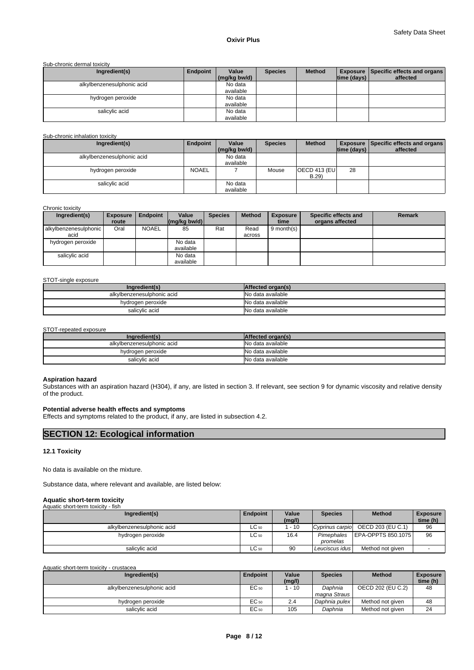### Sub-chronic dermal toxicity

| Ingredient(s)              | Endpoint | Value        | <b>Species</b> | <b>Method</b> |                    | <b>Exposure   Specific effects and organs  </b> |
|----------------------------|----------|--------------|----------------|---------------|--------------------|-------------------------------------------------|
|                            |          | (mg/kg bw/d) |                |               | $ time$ (days) $ $ | affected                                        |
| alkylbenzenesulphonic acid |          | No data      |                |               |                    |                                                 |
|                            |          | available    |                |               |                    |                                                 |
| hydrogen peroxide          |          | No data      |                |               |                    |                                                 |
|                            |          | available    |                |               |                    |                                                 |
| salicylic acid             |          | No data      |                |               |                    |                                                 |
|                            |          | available    |                |               |                    |                                                 |

## Sub-chronic inhalation toxicity

| Ingredient(s)              | Endpoint     | Value        | <b>Species</b> | <b>Method</b> |             | <b>Exposure   Specific effects and organs  </b> |
|----------------------------|--------------|--------------|----------------|---------------|-------------|-------------------------------------------------|
|                            |              | (mg/kg bw/d) |                |               | time (days) | affected                                        |
| alkylbenzenesulphonic acid |              | No data      |                |               |             |                                                 |
|                            |              | available    |                |               |             |                                                 |
| hydrogen peroxide          | <b>NOAEL</b> |              | Mouse          | OECD 413 (EU  | 28          |                                                 |
|                            |              |              |                | B.29          |             |                                                 |
| salicylic acid             |              | No data      |                |               |             |                                                 |
|                            |              | available    |                |               |             |                                                 |

#### Chronic toxicity

| Ingredient(s)         | <b>Exposure</b><br>route | <b>Endpoint</b> | Value<br>$\left \frac{\text{mag}}{\text{kg}}\right $ (mg/kg bw/d) | <b>Species</b> | <b>Method</b> | <b>Exposure</b><br>time | Specific effects and<br>organs affected | <b>Remark</b> |
|-----------------------|--------------------------|-----------------|-------------------------------------------------------------------|----------------|---------------|-------------------------|-----------------------------------------|---------------|
| alkylbenzenesulphonic | Oral                     | <b>NOAEL</b>    | 85                                                                | Rat            | Read          | $9$ month(s)            |                                         |               |
| acid                  |                          |                 |                                                                   |                | across        |                         |                                         |               |
| hydrogen peroxide     |                          |                 | No data<br>available                                              |                |               |                         |                                         |               |
| salicylic acid        |                          |                 | No data<br>available                                              |                |               |                         |                                         |               |

# STOT-single exposure

| Ingredient(s)              | Affected organ(s) |
|----------------------------|-------------------|
| alkylbenzenesulphonic acid | No data available |
| hydrogen peroxide          | No data available |
| salicylic acid             | No data available |

#### STOT-repeated exposure

| Ingredient(s)              | Affected organ(s) |
|----------------------------|-------------------|
| alkylbenzenesulphonic acid | No data available |
| hydrogen peroxide          | No data available |
| salicylic acid             | No data available |

# **Aspiration hazard**

Substances with an aspiration hazard (H304), if any, are listed in section 3. If relevant, see section 9 for dynamic viscosity and relative density of the product.

# **Potential adverse health effects and symptoms**

Effects and symptoms related to the product, if any, are listed in subsection 4.2.

# **SECTION 12: Ecological information**

# **12.1 Toxicity**

No data is available on the mixture.

Substance data, where relevant and available, are listed below:

# **Aquatic short-term toxicity**

| Ingredient(s)              | Endpoint  | Value<br>(mg/l) | <b>Species</b>         | <b>Method</b>              | <b>Exposure</b><br>time (h) |
|----------------------------|-----------|-----------------|------------------------|----------------------------|-----------------------------|
| alkylbenzenesulphonic acid | $LC_{50}$ | $-10$           | Cyprinus carpio        | OECD 203 (EU C.1)          | 96                          |
| hydrogen peroxide          | LC 50     | 16.4            | Pimephales<br>promelas | <b>LEPA-OPPTS 850.1075</b> | 96                          |
| salicylic acid             | $LC_{50}$ | 90              | Leuciscus idus         | Method not given           |                             |

| Ingredient(s)              | Endpoint  | Value<br>(mg/l) | <b>Species</b>            | <b>Method</b>     | <b>Exposure</b><br>time (h) |
|----------------------------|-----------|-----------------|---------------------------|-------------------|-----------------------------|
| alkylbenzenesulphonic acid | $EC_{50}$ | $-10$           | Daphnia<br>magna Straus I | OECD 202 (EU C.2) | 48                          |
| hydrogen peroxide          | $EC_{50}$ | 2.4             | Daphnia pulex             | Method not given  | 48                          |
| salicylic acid             | $EC_{50}$ | 105             | Daphnia                   | Method not given  | 24                          |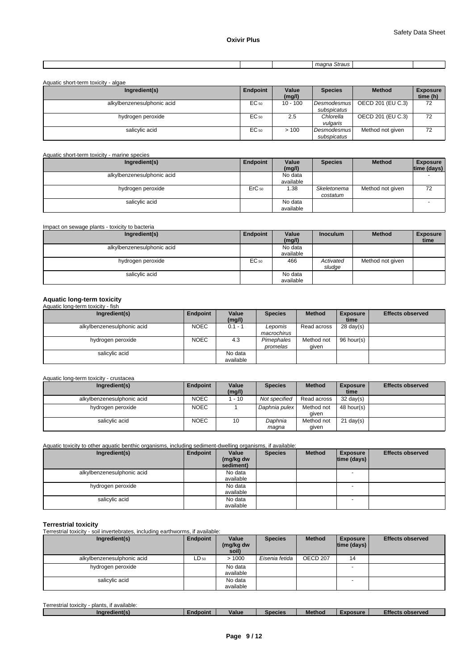|  | . . |  |
|--|-----|--|
|  |     |  |
|  |     |  |
|  |     |  |

| Aquatic short-term toxicity - algae |          |                 |                            |                   |                             |
|-------------------------------------|----------|-----------------|----------------------------|-------------------|-----------------------------|
| Ingredient(s)                       | Endpoint | Value<br>(mg/l) | <b>Species</b>             | <b>Method</b>     | <b>Exposure</b><br>time (h) |
| alkylbenzenesulphonic acid          | EC 50    | $10 - 100$      | Desmodesmus<br>subspicatus | OECD 201 (EU C.3) | 72                          |
| hydrogen peroxide                   | EC 50    | 2.5             | Chlorella<br>vulgaris      | OECD 201 (EU C.3) | 72                          |
| salicylic acid                      | EC 50    | >100            | Desmodesmus<br>subspicatus | Method not given  | 72                          |

# Aquatic short-term toxicity - marine species

| Ingredient(s)              | Endpoint          | Value     | <b>Species</b> | <b>Method</b>    | <b>Exposure</b> |
|----------------------------|-------------------|-----------|----------------|------------------|-----------------|
|                            |                   | (mg/l)    |                |                  | time (days)     |
| alkylbenzenesulphonic acid |                   | No data   |                |                  |                 |
|                            |                   | available |                |                  |                 |
| hydrogen peroxide          | ErC <sub>50</sub> | 1.38      | Skeletonema    | Method not given | 72              |
|                            |                   |           | costatum       |                  |                 |
| salicylic acid             |                   | No data   |                |                  |                 |
|                            |                   | available |                |                  |                 |

| Impact on sewage plants - toxicity to bacteria |          |           |                 |                  |                 |
|------------------------------------------------|----------|-----------|-----------------|------------------|-----------------|
| Ingredient(s)                                  | Endpoint | Value     | <b>Inoculum</b> | <b>Method</b>    | <b>Exposure</b> |
|                                                |          | (mg/l)    |                 |                  | time            |
| alkylbenzenesulphonic acid                     |          | No data   |                 |                  |                 |
|                                                |          | available |                 |                  |                 |
| hydrogen peroxide                              | EC 50    | 466       | Activated       | Method not given |                 |
|                                                |          |           | sludge          |                  |                 |
| salicylic acid                                 |          | No data   |                 |                  |                 |
|                                                |          | available |                 |                  |                 |

# **Aquatic long-term toxicity**  Aquatic long-term toxicity - fish

| Ingredient(s)              | Endpoint    | Value<br>(mg/l)      | <b>Species</b>         | <b>Method</b>       | <b>Exposure</b><br>time | <b>Effects observed</b> |
|----------------------------|-------------|----------------------|------------------------|---------------------|-------------------------|-------------------------|
| alkylbenzenesulphonic acid | <b>NOEC</b> | $0.1 - 1$            | Lepomis<br>macrochirus | Read across         | $28 \text{ day}(s)$     |                         |
| hydrogen peroxide          | <b>NOEC</b> | 4.3                  | Pimephales<br>promelas | Method not<br>aiven | 96 hour(s)              |                         |
| salicylic acid             |             | No data<br>available |                        |                     |                         |                         |

# Aquatic long-term toxicity - crustacea

| Ingredient(s)              | Endpoint    | Value  | <b>Species</b> | <b>Method</b> | <b>Exposure</b>     | <b>Effects observed</b> |
|----------------------------|-------------|--------|----------------|---------------|---------------------|-------------------------|
|                            |             | (mg/l) |                |               | time                |                         |
| alkylbenzenesulphonic acid | <b>NOEC</b> | $-10$  | Not specified  | Read across   | $32 \text{ day}(s)$ |                         |
| hydrogen peroxide          | <b>NOEC</b> |        | Daphnia pulex  | Method not    | 48 hour(s)          |                         |
|                            |             |        |                | aiven         |                     |                         |
| salicylic acid             | <b>NOEC</b> | 10     | Daphnia        | Method not    | $21 \text{ day}(s)$ |                         |
|                            |             |        | maqna          | given         |                     |                         |

Aquatic toxicity to other aquatic benthic organisms, including sediment-dwelling organisms, if available:

| Ingredient(s)              | Endpoint | Value<br>(mg/kg dw | <b>Species</b> | <b>Method</b> | <b>Exposure</b><br> time (days) | <b>Effects observed</b> |
|----------------------------|----------|--------------------|----------------|---------------|---------------------------------|-------------------------|
|                            |          | sediment)          |                |               |                                 |                         |
| alkylbenzenesulphonic acid |          | No data            |                |               |                                 |                         |
|                            |          | available          |                |               |                                 |                         |
| hydrogen peroxide          |          | No data            |                |               |                                 |                         |
|                            |          | available          |                |               |                                 |                         |
| salicylic acid             |          | No data            |                |               | <b>.</b>                        |                         |
|                            |          | available          |                |               |                                 |                         |

**Terrestrial toxicity**  Terrestrial toxicity - soil invertebrates, including earthworms, if available:

| Ingredient(s)                                | Endpoint  | Value<br>(mg/kg dw<br>soil) | <b>Species</b> | <b>Method</b> | <b>Exposure</b><br>$ time$ (days) $ $ | <b>Effects observed</b> |
|----------------------------------------------|-----------|-----------------------------|----------------|---------------|---------------------------------------|-------------------------|
| alkylbenzenesulphonic acid                   | $LD_{50}$ | >1000                       | Eisenia fetida | OECD 207      | 14                                    |                         |
| hydrogen peroxide                            |           | No data<br>available        |                |               | $\overline{\phantom{0}}$              |                         |
| salicylic acid                               |           | No data<br>available        |                |               |                                       |                         |
| Terrestrial toxicity - plants, if available: |           |                             |                |               |                                       |                         |

| $ -$<br>.<br>Terrestrial<br>plants.<br>l available.<br>toxicity <b>to</b> |          |       |                |               |          |                                |
|---------------------------------------------------------------------------|----------|-------|----------------|---------------|----------|--------------------------------|
| dient(s)<br><b>Indrect</b>                                                | Endpoint | Value | <b>Species</b> | <b>Method</b> | Exposure | $-22$<br>observed :<br>_trect′ |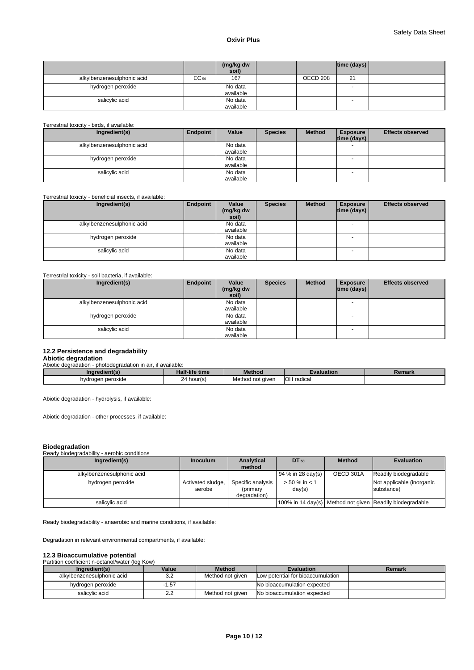|                                             |           | (mg/kg dw<br>soil)   |          | time (days) $ $ |  |
|---------------------------------------------|-----------|----------------------|----------|-----------------|--|
| alkylbenzenesulphonic acid                  | $EC_{50}$ | 167                  | OECD 208 | 21              |  |
| hydrogen peroxide                           |           | No data<br>available |          | -               |  |
| salicylic acid                              |           | No data<br>available |          | -               |  |
| Terrestrial toxicity - birds, if available: |           |                      |          |                 |  |

| Ingredient(s)              | Endpoint | Value     | <b>Species</b> | <b>Method</b> | <b>Exposure</b>    | <b>Effects observed</b> |
|----------------------------|----------|-----------|----------------|---------------|--------------------|-------------------------|
|                            |          |           |                |               | $ time$ (days) $ $ |                         |
| alkylbenzenesulphonic acid |          | No data   |                |               |                    |                         |
|                            |          | available |                |               |                    |                         |
| hydrogen peroxide          |          | No data   |                |               |                    |                         |
|                            |          | available |                |               |                    |                         |
| salicylic acid             |          | No data   |                |               | - -                |                         |
|                            |          | availahle |                |               |                    |                         |

# Terrestrial toxicity - beneficial insects, if available:

| Ingredient(s)                                       | Endpoint | Value<br>(mg/kg dw<br>soil) | <b>Species</b> | <b>Method</b> | <b>Exposure</b><br> time (days) | <b>Effects observed</b> |
|-----------------------------------------------------|----------|-----------------------------|----------------|---------------|---------------------------------|-------------------------|
| alkylbenzenesulphonic acid                          |          | No data<br>available        |                |               | $\overline{\phantom{0}}$        |                         |
| hydrogen peroxide                                   |          | No data<br>available        |                |               | $\overline{a}$                  |                         |
| salicylic acid                                      |          | No data<br>available        |                |               | $\overline{\phantom{0}}$        |                         |
| Terrestrial toxicity - soil bacteria, if available: |          |                             |                |               |                                 |                         |

| Ingredient(s)              | Endpoint | Value<br>(mg/kg dw<br>soil) | <b>Species</b> | <b>Method</b> | <b>Exposure</b><br>$ time$ (days) $ $ | <b>Effects observed</b> |
|----------------------------|----------|-----------------------------|----------------|---------------|---------------------------------------|-------------------------|
| alkylbenzenesulphonic acid |          | No data<br>available        |                |               | $\overline{\phantom{a}}$              |                         |
| hydrogen peroxide          |          | No data<br>available        |                |               | $\overline{\phantom{0}}$              |                         |
| salicylic acid             |          | No data<br>available        |                |               | $\overline{\phantom{0}}$              |                         |

# **12.2 Persistence and degradability**

# **Abiotic degradation**<br>Abiotic degradation - photodegradation in air, if available:

| <u>suuruuduuni m</u><br><u>DINGUCULUQUUNI III UII. II UVUIIUDIG.</u> |                |                  |                   |        |
|----------------------------------------------------------------------|----------------|------------------|-------------------|--------|
| Inaredient(s)                                                        | Half-life time | <b>Method</b>    | Evaluation        | Remark |
| hydrogen peroxide                                                    | ∠4 hour(s)     | Method not given | <b>OH</b> radical |        |

Abiotic degradation - hydrolysis, if available:

Abiotic degradation - other processes, if available:

| <b>Biodegradation</b>                                        |                             |                                               |                            |               |                                                          |
|--------------------------------------------------------------|-----------------------------|-----------------------------------------------|----------------------------|---------------|----------------------------------------------------------|
| Ready biodegradability - aerobic conditions<br>Ingredient(s) | <b>Inoculum</b>             | <b>Analytical</b><br>method                   | DT 50                      | <b>Method</b> | <b>Evaluation</b>                                        |
| alkylbenzenesulphonic acid                                   |                             |                                               | 94 % in 28 day(s)          | OECD 301A     | Readily biodegradable                                    |
| hydrogen peroxide                                            | Activated sludge,<br>aerobe | Specific analysis<br>(primary<br>degradation) | $> 50 \%$ in < 1<br>day(s) |               | Not applicable (inorganic<br>substance)                  |
| salicylic acid                                               |                             |                                               |                            |               | 100% in 14 day(s) Method not given Readily biodegradable |

Ready biodegradability - anaerobic and marine conditions, if available:

Degradation in relevant environmental compartments, if available:

# **12.3 Bioaccumulative potential**  Partition coefficient n-octanol/water (log Kow)

| Ingredient(s)              | Value           | <b>Method</b>    | <b>Evaluation</b>                 | Remark |
|----------------------------|-----------------|------------------|-----------------------------------|--------|
| alkylbenzenesulphonic acid | ົ<br>ے.ت        | Method not given | Low potential for bioaccumulation |        |
| hydrogen peroxide          | 57،،            |                  | No bioaccumulation expected       |        |
| salicvlic acid             | $\Omega$<br>ے.۔ | Method not aiven | No bioaccumulation expected       |        |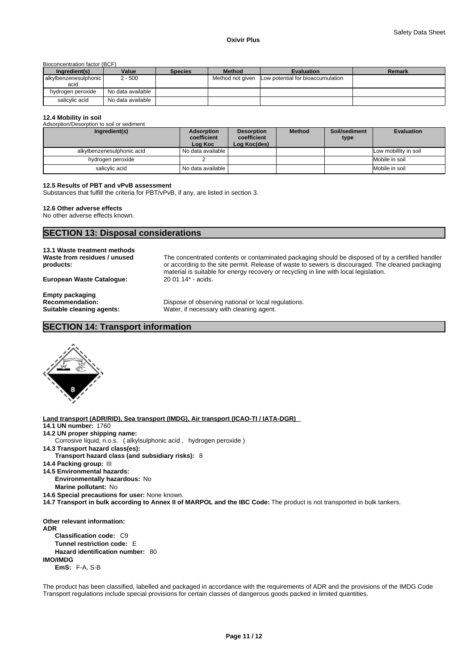#### Bioconcentration factor (BCF)

| Ingredient(s)             | Value             | <b>Species</b> | <b>Method</b>    | <b>Evaluation</b>                 | Remark |
|---------------------------|-------------------|----------------|------------------|-----------------------------------|--------|
| l alkylbenzenesulphonic l | 2 - 500           |                | Method not given | Low potential for bioaccumulation |        |
| acid                      |                   |                |                  |                                   |        |
| hydrogen peroxide         | No data available |                |                  |                                   |        |
| salicvlic acid            | No data available |                |                  |                                   |        |

### **12.4 Mobility in soil**

Adsorption/Desorption to soil or sediment **Ingredient(s)** Adsorption **coefficient Log Koc Desorption coefficient Log Koc(des) Method Soil/sediment type Evaluation**  alkylbenzenesulphonic acid No data available Low mobillity in soil hydrogen peroxide 2 2 Mobile in soil and the Salicylic acid<br>
2 Mobile in soil salicylic acid No data available Mobile in soil Mobile in soil Mobile in soil

#### **12.5 Results of PBT and vPvB assessment**

Substances that fulfill the criteria for PBT/vPvB, if any, are listed in section 3.

## **12.6 Other adverse effects**

No other adverse effects known.

# **SECTION 13: Disposal considerations**

# **13.1 Waste treatment methods Waste from residues / unused products:**

**European Waste Catalogue:** 20 01 14\* - acids.

The concentrated contents or contaminated packaging should be disposed of by a certified handler or according to the site permit. Release of waste to sewers is discouraged. The cleaned packaging material is suitable for energy recovery or recycling in line with local legislation.

**Empty packaging** 

**Recommendation: Dispose of observing national or local regulations.**<br> **Suitable cleaning agents:** Water, if necessary with cleaning agent. Water, if necessary with cleaning agent.

# **SECTION 14: Transport information**



**Land transport (ADR/RID), Sea transport (IMDG), Air transport (ICAO-TI / IATA-DGR) 14.1 UN number:** 1760 **14.2 UN proper shipping name: 14.3 Transport hazard class(es): Transport hazard class (and subsidiary risks):** 8 **14.4 Packing group:** III **14.5 Environmental hazards: Environmentally hazardous:** No **Marine pollutant:** No **14.6 Special precautions for user:** None known. **14.7 Transport in bulk according to Annex II of MARPOL and the IBC Code:** The product is not transported in bulk tankers. Corrosive liquid, n.o.s. ( alkylsulphonic acid , hydrogen peroxide )

**Other relevant information: ADR Classification code:** C9 **Tunnel restriction code:** E **Hazard identification number:** 80 **IMO/IMDG EmS:** F-A, S-B

The product has been classified, labelled and packaged in accordance with the requirements of ADR and the provisions of the IMDG Code Transport regulations include special provisions for certain classes of dangerous goods packed in limited quantities.